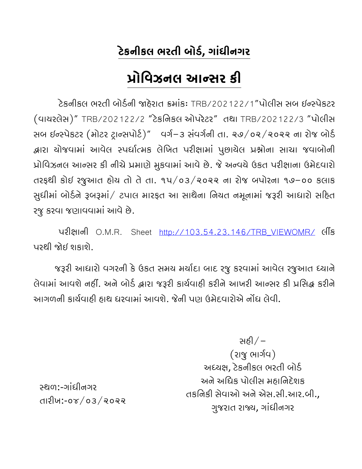# ટેકનીકલ ભરતી બોર્ડ, ગાંધીનગર

# Ëોિવઝનલ આ¤સર કી

ટેકનીકલ ભરતી બોર્ડની જાહેરાત ક્રમાંકઃ TRB/202122/1"પોલીસ સબ ઈન્સ્પેકટર (વાયરલેસ)" TRB/202122/2 "ટેકિનકલ ઓપરેટર" તથા TRB/202122/3 "પોલીસ સબ ઈન્સ્પેકટર (મોટર ટ્રાન્સપોર્ટ)" વર્ગ-૩ સંવર્ગની તા. ૨૭/૦૨/૨૦૨૨ ના રોજ બોર્ડ દ્વારા યોજવામાં આવેલ સ્પર્ધાત્મક લેખિત પરીક્ષામાં પુછાયેલ પ્રશ્નોના સાચા જવાબોની પ્રોવિઝનલ આન્સર કી નીચે પ્રમાણે મુકવામાં આવે છે. જે અન્વચે ઉકત પરીક્ષાના ઉમેદવારો તરફથી કોઇ રજુઆત હોય તો તેતા. ૧૫/૦૩/૨૦૨૨ ના રોજ બપોરના ૧૭-૦૦ કલાક સુધીમાં બોર્ડને રૂબરૂમાં/ ટપાલ મારફત આ સાથેના નિયત નમૂનામાં જરૂરી આધારો સહિત રજુકરવા જણાવવામાંઆવેછે.

પરીક્ષાની O.M.R. Sheet http://103.54.23.146/TRB\_VIEWOMR/ લીંક પરથી જોઈ શકાશે.

જરૂરી આધારો વગરની કે ઉકત સમય મર્યાદા બાદ રજુ કરવામાં આવેલ રજુઆત ધ્યાને લેવામાં આવશે નહીં. અને બોર્ડ દ્વારા જરૂરી કાર્યવાહી કરીને આખરી આન્સર કી પ્રસિદ્ધ કરીને આગળની કાર્યવાહી હાથ ધરવામાં આવશે. જેની પણ ઉમેદવારોએ નોંધ લેવી.

> સહી $/$ – (રાજુ ભાર્ગવ) અધ્યક્ષ, ટેકનીકલ ભરતી બોર્ડ અને અિધક પોલીસ મહાિનદેશક તકિનકી સેવાઓ અને એસ.સી.આર.બી., ગુજરાત રાય, ગાંધીનગર

°થળ:-ગાંધીનગર તારીખ:-૦૪/૦૩/૨૦૨૨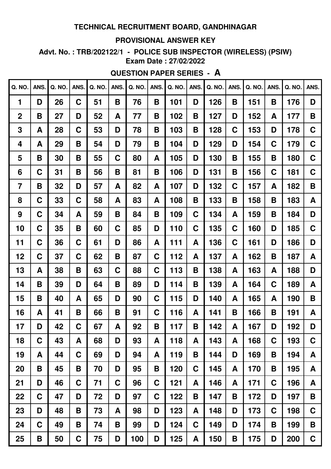#### **PROVISIONAL ANSWER KEY**

Advt. No.: TRB/202122/1 - POLICE SUB INSPECTOR (WIRELESS) (PSIW) **Exam Date: 27/02/2022** 

## **QUESTION PAPER SERIES - A**

| Q. NO.           | ANS.        | Q. NO. | ANS.        | Q. NO. | ANS. | Q. NO. | ANS. | Q. NO. | ANS. | Q. NO. | ANS. | Q. NO. | ANS.        | Q. NO. | ANS. |
|------------------|-------------|--------|-------------|--------|------|--------|------|--------|------|--------|------|--------|-------------|--------|------|
| 1                | D           | 26     | C           | 51     | B    | 76     | B    | 101    | D    | 126    | B    | 151    | B           | 176    | D    |
| $\boldsymbol{2}$ | B           | 27     | D           | 52     | A    | 77     | B    | 102    | B    | 127    | D    | 152    | A           | 177    | B    |
| 3                | A           | 28     | $\mathbf C$ | 53     | D    | 78     | B    | 103    | B    | 128    | C    | 153    | D           | 178    | C    |
| 4                | A           | 29     | Β           | 54     | D    | 79     | B    | 104    | D    | 129    | D    | 154    | C           | 179    | C    |
| 5                | B           | 30     | Β           | 55     | C    | 80     | A    | 105    | D    | 130    | B    | 155    | B           | 180    | C    |
| 6                | $\mathbf C$ | 31     | B           | 56     | Β    | 81     | B    | 106    | D    | 131    | B    | 156    | C           | 181    | C    |
| 7                | B           | 32     | D           | 57     | A    | 82     | A    | 107    | D    | 132    | C    | 157    | A           | 182    | B    |
| 8                | $\mathbf C$ | 33     | C           | 58     | A    | 83     | A    | 108    | B    | 133    | B    | 158    | B           | 183    | A    |
| 9                | C           | 34     | A           | 59     | B    | 84     | B    | 109    | C    | 134    | A    | 159    | B           | 184    | D    |
| 10               | C           | 35     | B           | 60     | C    | 85     | D    | 110    | C    | 135    | C    | 160    | D           | 185    | C    |
| 11               | $\mathbf C$ | 36     | C           | 61     | D    | 86     | A    | 111    | A    | 136    | C    | 161    | D           | 186    | D    |
| 12               | C           | 37     | $\mathbf C$ | 62     | Β    | 87     | C    | 112    | A    | 137    | A    | 162    | B           | 187    | A    |
| 13               | Α           | 38     | B           | 63     | C    | 88     | C    | 113    | B    | 138    | A    | 163    | A           | 188    | D    |
| 14               | B           | 39     | D           | 64     | Β    | 89     | D    | 114    | B    | 139    | A    | 164    | C           | 189    | A    |
| 15               | B           | 40     | A           | 65     | D    | 90     | C    | 115    | D    | 140    | A    | 165    | A           | 190    | B    |
| 16               | A           | 41     | B           | 66     | Β    | 91     | C    | 116    | A    | 141    | B    | 166    | B           | 191    | A    |
| 17               | D           | 42     | C           | 67     | A    | 92     | B    | 117    | Β    | 142    | A    | 167    | D           | 192    | D    |
| 18               | C           | 43     | A           | 68     | D    | 93     | A    | 118    | A    | 143    | A    | 168    | C           | 193    | C    |
| 19               | A           | 44     | $\mathbf C$ | 69     | D    | 94     | A    | 119    | B    | 144    | D    | 169    | B           | 194    | A    |
| 20               | B           | 45     | B           | 70     | D    | 95     | B    | 120    | C    | 145    | A    | 170    | Β           | 195    | A    |
| 21               | D           | 46     | $\mathbf C$ | 71     | C.   | 96     | C    | 121    | A    | 146    | A    | 171    | $\mathbf C$ | 196    | A    |
| 22               | $\mathbf C$ | 47     | D           | 72     | D    | 97     | C    | 122    | B    | 147    | Β    | 172    | D           | 197    | B    |
| 23               | D           | 48     | Β           | 73     | A    | 98     | D    | 123    | A    | 148    | D    | 173    | C           | 198    | C    |
| 24               | C           | 49     | B           | 74     | Β    | 99     | D    | 124    | C    | 149    | D    | 174    | Β           | 199    | B    |
| 25               | B           | 50     | C           | 75     | D    | 100    | D    | 125    | A    | 150    | B    | 175    | D           | 200    | C    |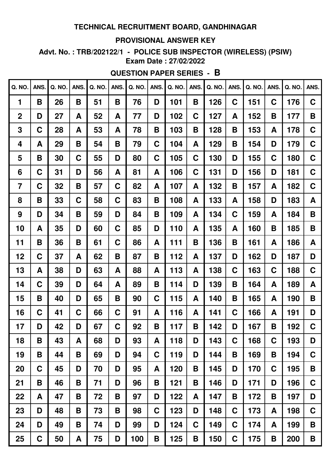#### **PROVISIONAL ANSWER KEY**

Advt. No.: TRB/202122/1 - POLICE SUB INSPECTOR (WIRELESS) (PSIW) **Exam Date: 27/02/2022** 

# **QUESTION PAPER SERIES - B**

| <b>Q. NO.</b>    | ANS.        | Q. NO. | ANS. | Q. NO. | ANS. | Q. NO. | ANS. | Q. NO. | ANS. | Q. NO. | ANS. | Q. NO. | ANS.        | Q. NO. | ANS. |
|------------------|-------------|--------|------|--------|------|--------|------|--------|------|--------|------|--------|-------------|--------|------|
| 1                | B           | 26     | B    | 51     | B    | 76     | D    | 101    | B    | 126    | C    | 151    | C           | 176    | C    |
| $\boldsymbol{2}$ | D           | 27     | A    | 52     | A    | 77     | D    | 102    | C    | 127    | A    | 152    | B           | 177    | B    |
| 3                | C           | 28     | A    | 53     | A    | 78     | B    | 103    | B    | 128    | B    | 153    | A           | 178    | C    |
| 4                | A           | 29     | B    | 54     | B    | 79     | C    | 104    | A    | 129    | B    | 154    | D           | 179    | C    |
| 5                | B           | 30     | C    | 55     | D    | 80     | C    | 105    | C    | 130    | D    | 155    | C           | 180    | C    |
| 6                | C           | 31     | D    | 56     | A    | 81     | A    | 106    | C    | 131    | D    | 156    | D           | 181    | C    |
| $\overline{7}$   | C           | 32     | B    | 57     | C    | 82     | A    | 107    | A    | 132    | B    | 157    | A           | 182    | C    |
| 8                | B           | 33     | C    | 58     | C    | 83     | B    | 108    | A    | 133    | A    | 158    | D           | 183    | A    |
| 9                | D           | 34     | Β    | 59     | D    | 84     | B    | 109    | A    | 134    | C    | 159    | A           | 184    | B    |
| 10               | A           | 35     | D    | 60     | C    | 85     | D    | 110    | A    | 135    | A    | 160    | B           | 185    | B    |
| 11               | B           | 36     | B    | 61     | C    | 86     | A    | 111    | B    | 136    | B    | 161    | A           | 186    | A    |
| 12               | C           | 37     | A    | 62     | B    | 87     | B    | 112    | A    | 137    | D    | 162    | D           | 187    | D    |
| 13               | A           | 38     | D    | 63     | A    | 88     | A    | 113    | A    | 138    | C    | 163    | C           | 188    | C    |
| 14               | C           | 39     | D    | 64     | A    | 89     | B    | 114    | D    | 139    | B    | 164    | A           | 189    | A    |
| 15               | B           | 40     | D    | 65     | B    | 90     | C    | 115    | A    | 140    | B    | 165    | A           | 190    | B    |
| 16               | $\mathbf C$ | 41     | C    | 66     | C    | 91     | A    | 116    | A    | 141    | C    | 166    | A           | 191    | D    |
| 17               | D           | 42     | D    | 67     | C    | 92     | B    | 117    | B    | 142    | D    | 167    | B           | 192    | C    |
| 18               | B           | 43     | A    | 68     | D    | 93     | A    | 118    | D    | 143    | C    | 168    | C           | 193    | D    |
| 19               | B           | 44     | B    | 69     | D    | 94     | C    | 119    | D    | 144    | B    | 169    | Β           | 194    | C    |
| 20               | $\mathbf C$ | 45     | D    | 70     | D    | 95     | A    | 120    | B    | 145    | D    | 170    | $\mathbf C$ | 195    | B    |
| 21               | Β           | 46     | Β    | 71     | D    | 96     | B    | 121    | B    | 146    | D    | 171    | D           | 196    | C    |
| 22               | A           | 47     | B    | 72     | Β    | 97     | D    | 122    | A    | 147    | Β    | 172    | Β           | 197    | D    |
| 23               | D           | 48     | Β    | 73     | Β    | 98     | C    | 123    | D    | 148    | C    | 173    | A           | 198    | C    |
| 24               | D           | 49     | Β    | 74     | D    | 99     | D    | 124    | C    | 149    | C    | 174    | A           | 199    | B    |
| 25               | C           | 50     | A    | 75     | D    | 100    | Β    | 125    | Β    | 150    | C    | 175    | Β           | 200    | Β    |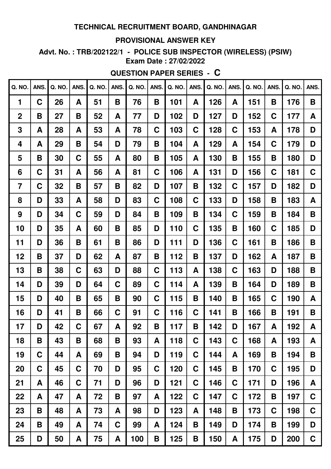#### **PROVISIONAL ANSWER KEY**

Advt. No.: TRB/202122/1 - POLICE SUB INSPECTOR (WIRELESS) (PSIW) **Exam Date: 27/02/2022** 

# **QUESTION PAPER SERIES - C**

| Q. NO.         | ANS.        | Q. NO. | ANS.        | Q. NO. | ANS. | Q. NO. | ANS.        | Q. NO. | ANS.        | Q. NO. | ANS.        | Q. NO. | ANS. | Q. NO. | ANS. |
|----------------|-------------|--------|-------------|--------|------|--------|-------------|--------|-------------|--------|-------------|--------|------|--------|------|
| 1              | C           | 26     | A           | 51     | B    | 76     | B           | 101    | A           | 126    | A           | 151    | B    | 176    | B    |
| $\mathbf 2$    | B           | 27     | B           | 52     | A    | 77     | D           | 102    | D           | 127    | D           | 152    | C    | 177    | A    |
| 3              | A           | 28     | A           | 53     | A    | 78     | C           | 103    | C           | 128    | C           | 153    | A    | 178    | D    |
| 4              | A           | 29     | B           | 54     | D    | 79     | B           | 104    | A           | 129    | A           | 154    | C    | 179    | D    |
| 5              | B           | 30     | C           | 55     | A    | 80     | B           | 105    | A           | 130    | B           | 155    | B    | 180    | D    |
| 6              | C           | 31     | A           | 56     | A    | 81     | C           | 106    | A           | 131    | D           | 156    | C    | 181    | C    |
| $\overline{7}$ | C           | 32     | B           | 57     | B    | 82     | D           | 107    | B           | 132    | C           | 157    | D    | 182    | D    |
| 8              | D           | 33     | A           | 58     | D    | 83     | C           | 108    | C           | 133    | D           | 158    | B    | 183    | A    |
| 9              | D           | 34     | C           | 59     | D    | 84     | B           | 109    | B           | 134    | C           | 159    | B    | 184    | B    |
| 10             | D           | 35     | A           | 60     | Β    | 85     | D           | 110    | C           | 135    | B           | 160    | C    | 185    | D    |
| 11             | D           | 36     | B           | 61     | B    | 86     | D           | 111    | D           | 136    | C           | 161    | B    | 186    | B    |
| 12             | B           | 37     | D           | 62     | A    | 87     | B           | 112    | B           | 137    | D           | 162    | A    | 187    | B    |
| 13             | B           | 38     | C           | 63     | D    | 88     | C           | 113    | A           | 138    | C           | 163    | D    | 188    | B    |
| 14             | D           | 39     | D           | 64     | C    | 89     | $\mathbf C$ | 114    | A           | 139    | Β           | 164    | D    | 189    | B    |
| 15             | D           | 40     | B           | 65     | B    | 90     | C           | 115    | B           | 140    | B           | 165    | C    | 190    | A    |
| 16             | D           | 41     | B           | 66     | C    | 91     | C           | 116    | C           | 141    | Β           | 166    | B    | 191    | B    |
| 17             | D           | 42     | $\mathbf C$ | 67     | A    | 92     | B           | 117    | B           | 142    | D           | 167    | A    | 192    | A    |
| 18             | B           | 43     | B           | 68     | B    | 93     | A           | 118    | C           | 143    | C           | 168    | A    | 193    | A    |
| 19             | C           | 44     | A           | 69     | Β    | 94     | D           | 119    | C           | 144    | A           | 169    | B    | 194    | B    |
| 20             | $\mathbf C$ | 45     | $\mathbf C$ | 70     | D    | 95     | C           | 120    | C           | 145    | B           | 170    | C    | 195    | D    |
| 21             | A           | 46     | $\mathbf C$ | 71     | D    | 96     | D           | 121    | C           | 146    | C           | 171    | D    | 196    | A    |
| 22             | A           | 47     | A           | 72     | B    | 97     | A           | 122    | $\mathbf C$ | 147    | $\mathbf C$ | 172    | Β    | 197    | C    |
| 23             | B           | 48     | A           | 73     | A    | 98     | D           | 123    | A           | 148    | B           | 173    | C    | 198    | C    |
| 24             | B           | 49     | A           | 74     | C    | 99     | A           | 124    | B           | 149    | D           | 174    | B    | 199    | D    |
| 25             | D           | 50     | A           | 75     | A    | 100    | B           | 125    | B           | 150    | A           | 175    | D    | 200    | C    |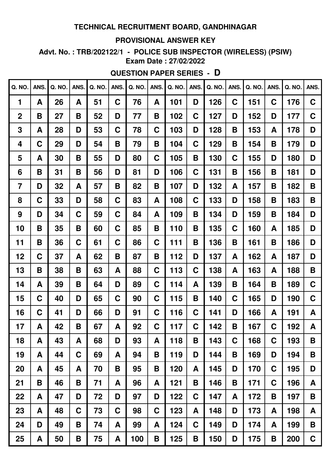#### **PROVISIONAL ANSWER KEY**

Advt. No.: TRB/202122/1 - POLICE SUB INSPECTOR (WIRELESS) (PSIW) **Exam Date: 27/02/2022** 

# **QUESTION PAPER SERIES - D**

| Q. NO.         | ANS.        | Q. NO. | ANS.        | Q. NO. | ANS. | Q. NO. | ANS. | Q. NO. | ANS.        | Q. NO. | ANS. | Q. NO. | ANS.        | Q. NO. | ANS. |
|----------------|-------------|--------|-------------|--------|------|--------|------|--------|-------------|--------|------|--------|-------------|--------|------|
| 1              | A           | 26     | A           | 51     | C    | 76     | A    | 101    | D           | 126    | C    | 151    | C           | 176    | C    |
| $\mathbf 2$    | B           | 27     | B           | 52     | D    | 77     | B    | 102    | C           | 127    | D    | 152    | D           | 177    | C    |
| 3              | A           | 28     | D           | 53     | C    | 78     | C    | 103    | D           | 128    | B    | 153    | A           | 178    | D    |
| 4              | C           | 29     | D           | 54     | B    | 79     | B    | 104    | C           | 129    | B    | 154    | B           | 179    | D    |
| 5              | A           | 30     | B           | 55     | D    | 80     | C    | 105    | Β           | 130    | C    | 155    | D           | 180    | D    |
| 6              | B           | 31     | B           | 56     | D    | 81     | D    | 106    | C           | 131    | B    | 156    | B           | 181    | D    |
| $\overline{7}$ | D           | 32     | A           | 57     | Β    | 82     | B    | 107    | D           | 132    | A    | 157    | B           | 182    | B    |
| 8              | C           | 33     | D           | 58     | C    | 83     | A    | 108    | C           | 133    | D    | 158    | B           | 183    | B    |
| 9              | D           | 34     | C           | 59     | C    | 84     | A    | 109    | B           | 134    | D    | 159    | B           | 184    | D    |
| 10             | В           | 35     | B           | 60     | C    | 85     | B    | 110    | B           | 135    | C    | 160    | A           | 185    | D    |
| 11             | B           | 36     | $\mathbf C$ | 61     | C    | 86     | C    | 111    | B           | 136    | B    | 161    | B           | 186    | D    |
| 12             | C           | 37     | A           | 62     | B    | 87     | B    | 112    | D           | 137    | A    | 162    | A           | 187    | D    |
| 13             | B           | 38     | B           | 63     | A    | 88     | C    | 113    | C           | 138    | A    | 163    | A           | 188    | B    |
| 14             | A           | 39     | B           | 64     | D    | 89     | C    | 114    | A           | 139    | B    | 164    | B           | 189    | C    |
| 15             | $\mathbf C$ | 40     | D           | 65     | C    | 90     | C    | 115    | B           | 140    | C    | 165    | D           | 190    | C    |
| 16             | $\mathbf C$ | 41     | D           | 66     | D    | 91     | C    | 116    | C           | 141    | D    | 166    | A           | 191    | A    |
| 17             | A           | 42     | B           | 67     | A    | 92     | C    | 117    | $\mathbf C$ | 142    | B    | 167    | C           | 192    | A    |
| 18             | A           | 43     | A           | 68     | D    | 93     | A    | 118    | B           | 143    | C    | 168    | $\mathbf C$ | 193    | B    |
| 19             | A           | 44     | $\mathbf C$ | 69     | A    | 94     | B    | 119    | D           | 144    | B    | 169    | D           | 194    | B    |
| 20             | A           | 45     | A           | 70     | B    | 95     | B    | 120    | A           | 145    | D    | 170    | $\mathbf C$ | 195    | D    |
| 21             | Β           | 46     | Β           | 71     | A    | 96     | A    | 121    | B           | 146    | B    | 171    | C           | 196    | A    |
| 22             | A           | 47     | D           | 72     | D    | 97     | D    | 122    | C           | 147    | A    | 172    | Β           | 197    | B    |
| 23             | A           | 48     | $\mathbf C$ | 73     | C    | 98     | C    | 123    | A           | 148    | D    | 173    | A           | 198    | A    |
| 24             | D           | 49     | Β           | 74     | A    | 99     | A    | 124    | C           | 149    | D    | 174    | A           | 199    | B    |
| 25             | A           | 50     | Β           | 75     | A    | 100    | Β    | 125    | Β           | 150    | D    | 175    | Β           | 200    | C    |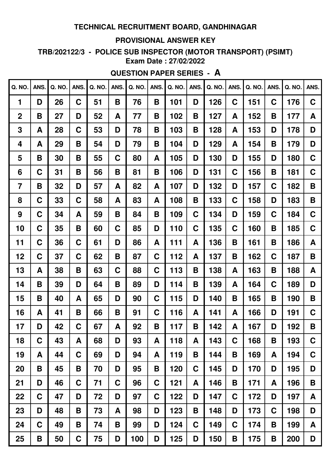#### **PROVISIONAL ANSWER KEY**

TRB/202122/3 - POLICE SUB INSPECTOR (MOTOR TRANSPORT) (PSIMT) **Exam Date: 27/02/2022** 

# **QUESTION PAPER SERIES - A**

| <b>Q. NO.</b> | ANS. | Q. NO. | ANS.        | Q. NO. | ANS. | Q. NO. | ANS.        | Q. NO. | ANS. | Q. NO | ANS.        | Q. NO. | ANS. | <b>Q. NO.</b> | ANS.        |
|---------------|------|--------|-------------|--------|------|--------|-------------|--------|------|-------|-------------|--------|------|---------------|-------------|
| 1             | D    | 26     | C           | 51     | B    | 76     | B           | 101    | D    | 126   | C           | 151    | C    | 176           | $\mathbf C$ |
| $\mathbf 2$   | B    | 27     | D           | 52     | A    | 77     | B           | 102    | B    | 127   | A           | 152    | B    | 177           | A           |
| 3             | A    | 28     | $\mathbf C$ | 53     | D    | 78     | B           | 103    | B    | 128   | A           | 153    | D    | 178           | D           |
| 4             | A    | 29     | Β           | 54     | D    | 79     | B           | 104    | D    | 129   | A           | 154    | B    | 179           | D           |
| 5             | Β    | 30     | B           | 55     | C    | 80     | A           | 105    | D    | 130   | D           | 155    | D    | 180           | $\mathbf C$ |
| 6             | C    | 31     | B           | 56     | B    | 81     | B           | 106    | D    | 131   | C           | 156    | B    | 181           | C           |
| 7             | B    | 32     | D           | 57     | A    | 82     | A           | 107    | D    | 132   | D           | 157    | C    | 182           | B           |
| 8             | C    | 33     | C           | 58     | A    | 83     | A           | 108    | B    | 133   | C           | 158    | D    | 183           | B           |
| 9             | C    | 34     | A           | 59     | B    | 84     | B           | 109    | C    | 134   | D           | 159    | C    | 184           | $\mathbf C$ |
| 10            | C    | 35     | Β           | 60     | C    | 85     | D           | 110    | C    | 135   | C           | 160    | B    | 185           | C           |
| 11            | C    | 36     | C           | 61     | D    | 86     | A           | 111    | A    | 136   | Β           | 161    | B    | 186           | A           |
| 12            | C    | 37     | $\mathbf C$ | 62     | B    | 87     | C           | 112    | A    | 137   | B           | 162    | C    | 187           | B           |
| 13            | A    | 38     | B           | 63     | C    | 88     | C           | 113    | B    | 138   | A           | 163    | B    | 188           | A           |
| 14            | B    | 39     | D           | 64     | Β    | 89     | D           | 114    | B    | 139   | A           | 164    | C    | 189           | D           |
| 15            | B    | 40     | A           | 65     | D    | 90     | C           | 115    | D    | 140   | B           | 165    | B    | 190           | B           |
| 16            | A    | 41     | B           | 66     | Β    | 91     | C           | 116    | A    | 141   | A           | 166    | D    | 191           | C           |
| 17            | D    | 42     | $\mathbf C$ | 67     | A    | 92     | B           | 117    | B    | 142   | A           | 167    | D    | 192           | B           |
| 18            | C    | 43     | A           | 68     | D    | 93     | A           | 118    | A    | 143   | $\mathbf C$ | 168    | B    | 193           | $\mathbf C$ |
| 19            | A    | 44     | C           | 69     | D    | 94     | A           | 119    | B    | 144   | B           | 169    | A    | 194           | $\mathbf C$ |
| 20            | B    | 45     | B           | 70     | D    | 95     | B           | 120    | C    | 145   | D           | 170    | D    | 195           | D           |
| 21            | D    | 46     | $\mathbf C$ | 71     | C    | 96     | $\mathbf C$ | 121    | A    | 146   | Β           | 171    | A    | 196           | B           |
| 22            | C    | 47     | D           | 72     | D    | 97     | $\mathbf C$ | 122    | D    | 147   | C           | 172    | D    | 197           | A           |
| 23            | D    | 48     | B           | 73     | A    | 98     | D           | 123    | B    | 148   | D           | 173    | C    | 198           | D           |
| 24            | C    | 49     | Β           | 74     | Β    | 99     | D           | 124    | C.   | 149   | C           | 174    | B    | 199           | A           |
| 25            | Β    | 50     | C           | 75     | D    | 100    | D           | 125    | D    | 150   | B           | 175    | Β    | 200           | D           |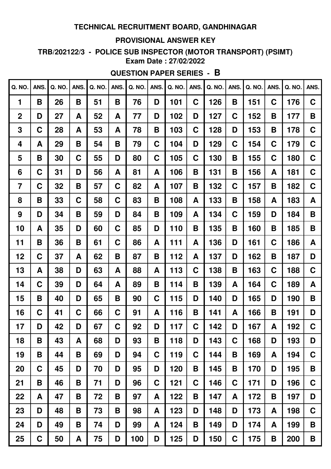#### **PROVISIONAL ANSWER KEY**

TRB/202122/3 - POLICE SUB INSPECTOR (MOTOR TRANSPORT) (PSIMT) **Exam Date: 27/02/2022** 

# **QUESTION PAPER SERIES - B**

| Q. NO.         | ANS.        | Q. NO. | ANS. | Q. NO. | ANS. | Q. NO. | ANS.        | Q. NO. | ANS. | Q. NO. | ANS.        | Q. NO. | ANS. | Q. NO. | ANS. |
|----------------|-------------|--------|------|--------|------|--------|-------------|--------|------|--------|-------------|--------|------|--------|------|
| 1              | B           | 26     | B    | 51     | B    | 76     | D           | 101    | C    | 126    | Β           | 151    | C    | 176    | C    |
| $\mathbf 2$    | D           | 27     | A    | 52     | A    | 77     | D           | 102    | D    | 127    | С           | 152    | B    | 177    | B    |
| 3              | C           | 28     | A    | 53     | A    | 78     | B           | 103    | C    | 128    | D           | 153    | B    | 178    | C    |
| 4              | A           | 29     | B    | 54     | Β    | 79     | C           | 104    | D    | 129    | C           | 154    | C    | 179    | C    |
| 5              | B           | 30     | C    | 55     | D    | 80     | $\mathbf C$ | 105    | C    | 130    | Β           | 155    | C    | 180    | C    |
| 6              | $\mathbf C$ | 31     | D    | 56     | A    | 81     | A           | 106    | B    | 131    | B           | 156    | A    | 181    | C    |
| $\overline{7}$ | C           | 32     | B    | 57     | C    | 82     | A           | 107    | B    | 132    | C           | 157    | B    | 182    | C    |
| 8              | B           | 33     | C    | 58     | C    | 83     | B           | 108    | A    | 133    | B           | 158    | A    | 183    | A    |
| 9              | D           | 34     | B    | 59     | D    | 84     | B           | 109    | A    | 134    | C           | 159    | D    | 184    | B    |
| 10             | A           | 35     | D    | 60     | C    | 85     | D           | 110    | B    | 135    | Β           | 160    | Β    | 185    | B    |
| 11             | B           | 36     | B    | 61     | C    | 86     | A           | 111    | A    | 136    | D           | 161    | C    | 186    | A    |
| 12             | C           | 37     | A    | 62     | B    | 87     | B           | 112    | A    | 137    | D           | 162    | B    | 187    | D    |
| 13             | A           | 38     | D    | 63     | A    | 88     | A           | 113    | C    | 138    | Β           | 163    | C    | 188    | C    |
| 14             | C           | 39     | D    | 64     | A    | 89     | B           | 114    | B    | 139    | A           | 164    | C    | 189    | A    |
| 15             | B           | 40     | D    | 65     | Β    | 90     | $\mathbf C$ | 115    | D    | 140    | D           | 165    | D    | 190    | B    |
| 16             | C           | 41     | C    | 66     | C    | 91     | A           | 116    | B    | 141    | A           | 166    | B    | 191    | D    |
| 17             | D           | 42     | D    | 67     | C    | 92     | D           | 117    | C    | 142    | D           | 167    | A    | 192    | C    |
| 18             | B           | 43     | A    | 68     | D    | 93     | B           | 118    | D    | 143    | C           | 168    | D    | 193    | D    |
| 19             | B           | 44     | B    | 69     | D    | 94     | C           | 119    | C    | 144    | Β           | 169    | A    | 194    | C    |
| 20             | C           | 45     | D    | 70     | D    | 95     | D           | 120    | B    | 145    | B           | 170    | D    | 195    | B    |
| 21             | Β           | 46     | B    | 71     | D    | 96     | C           | 121    | C    | 146    | $\mathbf C$ | 171    | D    | 196    | C    |
| 22             | A           | 47     | B    | 72     | B    | 97     | A           | 122    | B    | 147    | A           | 172    | Β    | 197    | D    |
| 23             | D           | 48     | B    | 73     | Β    | 98     | A           | 123    | D    | 148    | D           | 173    | A    | 198    | C    |
| 24             | D           | 49     | B    | 74     | D    | 99     | A           | 124    | B    | 149    | D           | 174    | A    | 199    | B    |
| 25             | C           | 50     | A    | 75     | D    | 100    | D           | 125    | D    | 150    | C           | 175    | Β    | 200    | Β    |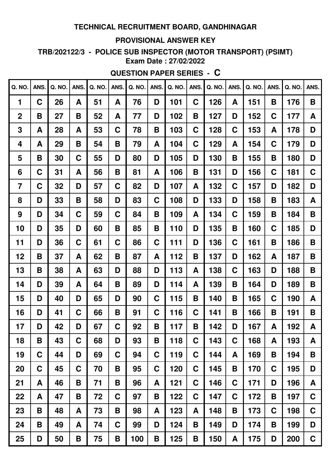#### **PROVISIONAL ANSWER KEY**

TRB/202122/3 - POLICE SUB INSPECTOR (MOTOR TRANSPORT) (PSIMT) **Exam Date: 27/02/2022** 

# **QUESTION PAPER SERIES - C**

| Q. NO.         | ANS. | Q. NO. | ANS. | Q. NO. | ANS. | Q. NO. | ANS. | Q. NO. | ANS. | Q. NO. | ANS.        | Q. NO. | ANS. | Q. NO. | ANS. |
|----------------|------|--------|------|--------|------|--------|------|--------|------|--------|-------------|--------|------|--------|------|
| $\mathbf{1}$   | C    | 26     | A    | 51     | A    | 76     | D    | 101    | C    | 126    | A           | 151    | B    | 176    | B    |
| $\mathbf 2$    | B    | 27     | B    | 52     | A    | 77     | D    | 102    | B    | 127    | D           | 152    | C    | 177    | A    |
| 3              | A    | 28     | A    | 53     | C    | 78     | B    | 103    | C    | 128    | C           | 153    | A    | 178    | D    |
| 4              | A    | 29     | Β    | 54     | Β    | 79     | A    | 104    | C    | 129    | A           | 154    | C    | 179    | D    |
| 5              | B    | 30     | C    | 55     | D    | 80     | D    | 105    | D    | 130    | B           | 155    | B    | 180    | D    |
| 6              | C    | 31     | A    | 56     | Β    | 81     | A    | 106    | Β    | 131    | D           | 156    | C    | 181    | C    |
| $\overline{7}$ | C    | 32     | D    | 57     | C    | 82     | D    | 107    | A    | 132    | C           | 157    | D    | 182    | D    |
| 8              | D    | 33     | Β    | 58     | D    | 83     | C    | 108    | D    | 133    | D           | 158    | B    | 183    | A    |
| 9              | D    | 34     | C    | 59     | C    | 84     | B    | 109    | A    | 134    | C           | 159    | B    | 184    | B    |
| 10             | D    | 35     | D    | 60     | В    | 85     | B    | 110    | D    | 135    | B           | 160    | C    | 185    | D    |
| 11             | D    | 36     | C    | 61     | C    | 86     | C    | 111    | D    | 136    | C           | 161    | B    | 186    | B    |
| 12             | B    | 37     | A    | 62     | B    | 87     | A    | 112    | B    | 137    | D           | 162    | A    | 187    | B    |
| 13             | B    | 38     | A    | 63     | D    | 88     | D    | 113    | A    | 138    | C           | 163    | D    | 188    | B    |
| 14             | D    | 39     | A    | 64     | Β    | 89     | D    | 114    | A    | 139    | Β           | 164    | D    | 189    | B    |
| 15             | D    | 40     | D    | 65     | D    | 90     | C    | 115    | B    | 140    | B           | 165    | C    | 190    | A    |
| 16             | D    | 41     | C    | 66     | Β    | 91     | C    | 116    | C    | 141    | B           | 166    | B    | 191    | B    |
| 17             | D    | 42     | D    | 67     | C    | 92     | Β    | 117    | B    | 142    | D           | 167    | A    | 192    | A    |
| 18             | B    | 43     | C    | 68     | D    | 93     | B    | 118    | C    | 143    | C           | 168    | A    | 193    | A    |
| 19             | C    | 44     | D    | 69     | C    | 94     | C    | 119    | C    | 144    | A           | 169    | B    | 194    | B    |
| 20             | C    | 45     | C    | 70     | Β    | 95     | C    | 120    | C    | 145    | B           | 170    | C    | 195    | D    |
| 21             | A    | 46     | Β    | 71     | Β    | 96     | A    | 121    | C    | 146    | $\mathbf C$ | 171    | D    | 196    | A    |
| 22             | A    | 47     | Β    | 72     | C    | 97     | Β    | 122    | C    | 147    | C           | 172    | Β    | 197    | C    |
| 23             | B    | 48     | A    | 73     | Β    | 98     | A    | 123    | A    | 148    | Β           | 173    | C    | 198    | C    |
| 24             | B    | 49     | A    | 74     | C    | 99     | D    | 124    | B    | 149    | D           | 174    | Β    | 199    | D    |
| 25             | D    | 50     | Β    | 75     | B    | 100    | Β    | 125    | B    | 150    | A           | 175    | D    | 200    | C    |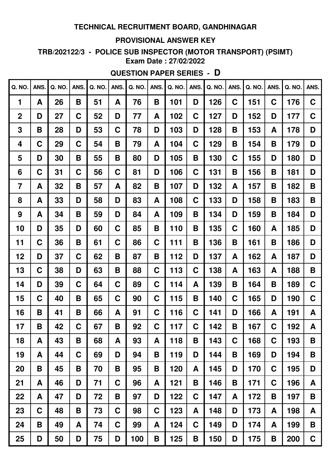#### **PROVISIONAL ANSWER KEY**

TRB/202122/3 - POLICE SUB INSPECTOR (MOTOR TRANSPORT) (PSIMT) **Exam Date: 27/02/2022** 

# **QUESTION PAPER SERIES - D**

| Q. NO.      | ANS. | Q. NO. | ANS. | Q. NO. | ANS. | Q. NO. | ANS. | Q. NO. | ANS. | Q. NO. | ANS.        | Q. NO. | ANS.        | <b>Q. NO.</b> | ANS.        |
|-------------|------|--------|------|--------|------|--------|------|--------|------|--------|-------------|--------|-------------|---------------|-------------|
| 1           | A    | 26     | Β    | 51     | A    | 76     | B    | 101    | D    | 126    | C           | 151    | C           | 176           | $\mathbf C$ |
| $\mathbf 2$ | D    | 27     | C    | 52     | D    | 77     | A    | 102    | C    | 127    | D           | 152    | D           | 177           | $\mathbf C$ |
| 3           | B    | 28     | D    | 53     | C    | 78     | D    | 103    | D    | 128    | B           | 153    | A           | 178           | D           |
| 4           | C    | 29     | C    | 54     | В    | 79     | A    | 104    | C    | 129    | B           | 154    | B           | 179           | D           |
| 5           | D    | 30     | Β    | 55     | B    | 80     | D    | 105    | B    | 130    | $\mathbf C$ | 155    | D           | 180           | D           |
| 6           | C    | 31     | C    | 56     | C    | 81     | D    | 106    | C    | 131    | B           | 156    | В           | 181           | D           |
| 7           | A    | 32     | B    | 57     | A    | 82     | B    | 107    | D    | 132    | A           | 157    | B           | 182           | B           |
| 8           | A    | 33     | D    | 58     | D    | 83     | A    | 108    | C    | 133    | D           | 158    | B           | 183           | B           |
| 9           | A    | 34     | B    | 59     | D    | 84     | A    | 109    | B    | 134    | D           | 159    | B           | 184           | D           |
| 10          | D    | 35     | D    | 60     | C    | 85     | B    | 110    | B    | 135    | C           | 160    | A           | 185           | D           |
| 11          | C    | 36     | B    | 61     | C    | 86     | C    | 111    | B    | 136    | B           | 161    | В           | 186           | D           |
| 12          | D    | 37     | C    | 62     | B    | 87     | B    | 112    | D    | 137    | A           | 162    | A           | 187           | D           |
| 13          | C    | 38     | D    | 63     | B    | 88     | C    | 113    | C    | 138    | A           | 163    | A           | 188           | B           |
| 14          | D    | 39     | C    | 64     | C    | 89     | C    | 114    | A    | 139    | B           | 164    | B           | 189           | C           |
| 15          | C    | 40     | Β    | 65     | C    | 90     | C    | 115    | Β    | 140    | C           | 165    | D           | 190           | $\mathbf C$ |
| 16          | B    | 41     | B    | 66     | A    | 91     | C    | 116    | C    | 141    | D           | 166    | A           | 191           | A           |
| 17          | B    | 42     | C    | 67     | B    | 92     | C    | 117    | C    | 142    | B           | 167    | $\mathbf C$ | 192           | A           |
| 18          | A    | 43     | B    | 68     | A    | 93     | A    | 118    | B    | 143    | C           | 168    | C           | 193           | B           |
| 19          | A    | 44     | C    | 69     | D    | 94     | B    | 119    | D    | 144    | B           | 169    | D           | 194           | B           |
| 20          | B    | 45     | B    | 70     | B    | 95     | B    | 120    | A    | 145    | D           | 170    | $\mathbf C$ | 195           | D           |
| 21          | A    | 46     | D    | 71     | C    | 96     | A    | 121    | B    | 146    | B           | 171    | C           | 196           | A           |
| 22          | A    | 47     | D    | 72     | B    | 97     | D    | 122    | C    | 147    | A           | 172    | Β           | 197           | B           |
| 23          | C    | 48     | Β    | 73     | C    | 98     | C    | 123    | A    | 148    | D           | 173    | A           | 198           | A           |
| 24          | B    | 49     | A    | 74     | C    | 99     | A    | 124    | C    | 149    | D           | 174    | A           | 199           | B           |
| 25          | D    | 50     | D    | 75     | D    | 100    | Β    | 125    | Β    | 150    | D           | 175    | Β           | 200           | C           |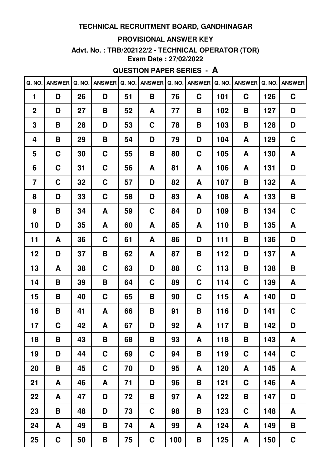#### **PROVISIONAL ANSWER KEY**

# **Advt. No. : TRB/202122/2 - TECHNICAL OPERATOR (TOR)**

**Exam Date : 27/02/2022**

## **QUESTION PAPER SERIES - A**

|                | Q. NO. ANSWER | Q. NO. | <b>ANSWER</b> | Q. NO. | <b>ANSWER</b> | Q. NO. | ANSWER Q. NO. |     | <b>ANSWER</b> | Q. NO. | <b>ANSWER</b> |
|----------------|---------------|--------|---------------|--------|---------------|--------|---------------|-----|---------------|--------|---------------|
| $\blacksquare$ | D             | 26     | D             | 51     | B             | 76     | $\mathbf C$   | 101 | $\mathbf C$   | 126    | $\mathbf C$   |
| $\overline{2}$ | D             | 27     | B             | 52     | A             | 77     | Β             | 102 | B             | 127    | D             |
| 3              | B             | 28     | D             | 53     | $\mathbf C$   | 78     | B             | 103 | B             | 128    | D             |
| 4              | B             | 29     | B             | 54     | D             | 79     | D             | 104 | A             | 129    | C             |
| 5              | C             | 30     | C             | 55     | Β             | 80     | C             | 105 | A             | 130    | A             |
| 6              | $\mathbf C$   | 31     | C             | 56     | A             | 81     | A             | 106 | A             | 131    | D             |
| $\overline{7}$ | C             | 32     | $\mathbf C$   | 57     | D             | 82     | A             | 107 | B             | 132    | A             |
| 8              | D             | 33     | $\mathbf C$   | 58     | D             | 83     | A             | 108 | A             | 133    | B             |
| 9              | B             | 34     | A             | 59     | C             | 84     | D             | 109 | B             | 134    | $\mathbf C$   |
| 10             | D             | 35     | A             | 60     | A             | 85     | A             | 110 | B             | 135    | A             |
| 11             | A             | 36     | $\mathbf C$   | 61     | A             | 86     | D             | 111 | B             | 136    | D             |
| 12             | D             | 37     | B             | 62     | A             | 87     | B             | 112 | D             | 137    | A             |
| 13             | A             | 38     | $\mathbf C$   | 63     | D             | 88     | $\mathbf C$   | 113 | Β             | 138    | B             |
| 14             | B             | 39     | B             | 64     | C             | 89     | C             | 114 | $\mathbf C$   | 139    | A             |
| 15             | B             | 40     | $\mathbf C$   | 65     | B             | 90     | $\mathbf C$   | 115 | A             | 140    | D             |
| 16             | B             | 41     | A             | 66     | B             | 91     | Β             | 116 | D             | 141    | C             |
| 17             | C             | 42     | A             | 67     | D             | 92     | A             | 117 | Β             | 142    | D             |
| 18             | B             | 43     | Β             | 68     | Β             | 93     | A             | 118 | B             | 143    | A             |
| 19             | D             | 44     | $\mathbf C$   | 69     | $\mathbf C$   | 94     | B             | 119 | $\mathbf C$   | 144    | $\mathbf C$   |
| 20             | B             | 45     | $\mathbf C$   | 70     | D             | 95     | A             | 120 | A             | 145    | A             |
| 21             | A             | 46     | A             | 71     | D             | 96     | B             | 121 | $\mathbf C$   | 146    | A             |
| 22             | A             | 47     | D             | 72     | Β             | 97     | A             | 122 | Β             | 147    | D             |
| 23             | B             | 48     | D             | 73     | $\mathbf C$   | 98     | B             | 123 | $\mathbf C$   | 148    | A             |
| 24             | A             | 49     | Β             | 74     | A             | 99     | A             | 124 | A             | 149    | B             |
| 25             | $\mathbf C$   | 50     | B             | 75     | $\mathbf C$   | 100    | Β             | 125 | A             | 150    | $\mathbf C$   |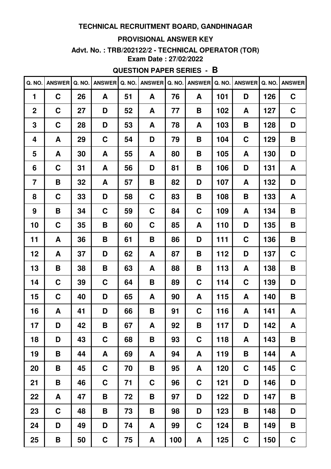#### **PROVISIONAL ANSWER KEY**

# **Advt. No. : TRB/202122/2 - TECHNICAL OPERATOR (TOR)**

**Exam Date : 27/02/2022**

## **QUESTION PAPER SERIES - B**

| Q. NO.         | <b>ANSWER</b> | Q. NO. | <b>ANSWER</b> | Q. NO. | <b>ANSWER</b> | Q. NO. | <b>ANSWER</b> | Q. NO. | <b>ANSWER</b> | Q. NO. | <b>ANSWER</b> |
|----------------|---------------|--------|---------------|--------|---------------|--------|---------------|--------|---------------|--------|---------------|
| 1              | $\mathbf C$   | 26     | A             | 51     | A             | 76     | A             | 101    | D             | 126    | $\mathbf C$   |
| $\mathbf 2$    | $\mathbf C$   | 27     | D             | 52     | A             | 77     | Β             | 102    | A             | 127    | $\mathbf C$   |
| 3              | $\mathbf C$   | 28     | D             | 53     | A             | 78     | A             | 103    | B             | 128    | D             |
| 4              | A             | 29     | $\mathbf C$   | 54     | D             | 79     | Β             | 104    | $\mathbf C$   | 129    | B             |
| 5              | A             | 30     | A             | 55     | A             | 80     | Β             | 105    | A             | 130    | D             |
| 6              | C             | 31     | A             | 56     | D             | 81     | Β             | 106    | D             | 131    | A             |
| $\overline{7}$ | B             | 32     | A             | 57     | Β             | 82     | D             | 107    | A             | 132    | D             |
| 8              | $\mathbf C$   | 33     | D             | 58     | $\mathbf C$   | 83     | В             | 108    | B             | 133    | A             |
| 9              | B             | 34     | $\mathbf C$   | 59     | $\mathbf C$   | 84     | C             | 109    | A             | 134    | B             |
| 10             | C             | 35     | B             | 60     | $\mathbf C$   | 85     | A             | 110    | D             | 135    | B             |
| 11             | A             | 36     | B             | 61     | Β             | 86     | D             | 111    | $\mathbf C$   | 136    | Β             |
| 12             | A             | 37     | D             | 62     | A             | 87     | Β             | 112    | D             | 137    | $\mathbf C$   |
| 13             | B             | 38     | Β             | 63     | A             | 88     | Β             | 113    | A             | 138    | B             |
| 14             | $\mathbf C$   | 39     | $\mathbf C$   | 64     | Β             | 89     | C             | 114    | $\mathbf C$   | 139    | D             |
| 15             | $\mathbf C$   | 40     | D             | 65     | A             | 90     | A             | 115    | A             | 140    | B             |
| 16             | A             | 41     | D             | 66     | B             | 91     | C             | 116    | A             | 141    | A             |
| 17             | D             | 42     | B             | 67     | A             | 92     | В             | 117    | D             | 142    | A             |
| 18             | D             | 43     | $\mathbf C$   | 68     | Β             | 93     | $\mathbf C$   | 118    | A             | 143    | B             |
| 19             | B             | 44     | A             | 69     | A             | 94     | A             | 119    | B             | 144    | A             |
| 20             | B             | 45     | $\mathbf C$   | 70     | Β             | 95     | A             | 120    | $\mathbf C$   | 145    | $\mathbf C$   |
| 21             | B             | 46     | $\mathbf C$   | 71     | $\mathbf C$   | 96     | $\mathbf C$   | 121    | D             | 146    | D             |
| 22             | A             | 47     | B             | 72     | B             | 97     | D             | 122    | D             | 147    | B             |
| 23             | $\mathbf C$   | 48     | Β             | 73     | Β             | 98     | D             | 123    | Β             | 148    | D             |
| 24             | D             | 49     | D             | 74     | A             | 99     | C             | 124    | B             | 149    | B             |
| 25             | B             | 50     | $\mathbf C$   | 75     | A             | 100    | A             | 125    | $\mathbf C$   | 150    | $\mathbf C$   |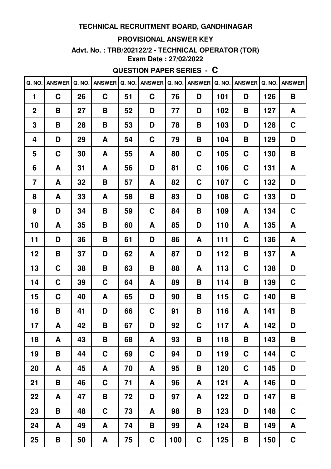#### PROVISIONAL ANSWER KEY

# Advt. No.: TRB/202122/2 - TECHNICAL OPERATOR (TOR)

Exam Date: 27/02/2022

### **QUESTION PAPER SERIES - C**

| Q. NO.         | <b>ANSWER</b> | Q. NO. | <b>ANSWER</b> | Q. NO. | <b>ANSWER</b> | Q. NO. | <b>ANSWER</b> | Q. NO. | <b>ANSWER</b> | Q. NO. | <b>ANSWER</b> |
|----------------|---------------|--------|---------------|--------|---------------|--------|---------------|--------|---------------|--------|---------------|
| 1              | $\mathbf C$   | 26     | $\mathbf C$   | 51     | $\mathbf C$   | 76     | D             | 101    | D             | 126    | B             |
| $\mathbf 2$    | B             | 27     | B             | 52     | D             | 77     | D             | 102    | B             | 127    | A             |
| 3              | B             | 28     | B             | 53     | D             | 78     | Β             | 103    | D             | 128    | C             |
| 4              | D             | 29     | A             | 54     | $\mathbf C$   | 79     | Β             | 104    | B             | 129    | D             |
| 5              | $\mathbf C$   | 30     | A             | 55     | A             | 80     | C             | 105    | $\mathbf C$   | 130    | B             |
| 6              | A             | 31     | A             | 56     | D             | 81     | C             | 106    | $\mathbf C$   | 131    | A             |
| $\overline{7}$ | A             | 32     | Β             | 57     | A             | 82     | C             | 107    | $\mathbf C$   | 132    | D             |
| 8              | A             | 33     | A             | 58     | B             | 83     | D             | 108    | $\mathbf C$   | 133    | D             |
| 9              | D             | 34     | B             | 59     | $\mathbf C$   | 84     | B             | 109    | A             | 134    | $\mathbf C$   |
| 10             | A             | 35     | B             | 60     | A             | 85     | D             | 110    | A             | 135    | A             |
| 11             | D             | 36     | B             | 61     | D             | 86     | A             | 111    | $\mathbf C$   | 136    | A             |
| 12             | B             | 37     | D             | 62     | A             | 87     | D             | 112    | B             | 137    | A             |
| 13             | C             | 38     | Β             | 63     | B             | 88     | A             | 113    | $\mathbf C$   | 138    | D             |
| 14             | $\mathbf C$   | 39     | $\mathbf C$   | 64     | A             | 89     | В             | 114    | B             | 139    | $\mathbf C$   |
| 15             | $\mathbf C$   | 40     | A             | 65     | D             | 90     | Β             | 115    | $\mathbf C$   | 140    | B             |
| 16             | B             | 41     | D             | 66     | C             | 91     | В             | 116    | A             | 141    | B             |
| 17             | A             | 42     | B             | 67     | D             | 92     | C             | 117    | A             | 142    | D             |
| 18             | A             | 43     | Β             | 68     | A             | 93     | Β             | 118    | B             | 143    | B             |
| 19             | B             | 44     | $\mathbf C$   | 69     | $\mathbf C$   | 94     | D             | 119    | $\mathbf C$   | 144    | $\mathbf C$   |
| 20             | A             | 45     | A             | 70     | A             | 95     | Β             | 120    | $\mathbf C$   | 145    | D             |
| 21             | B             | 46     | $\mathbf C$   | 71     | A             | 96     | A             | 121    | A             | 146    | D             |
| 22             | A             | 47     | B             | 72     | D             | 97     | A             | 122    | D             | 147    | B             |
| 23             | Β             | 48     | $\mathbf C$   | 73     | A             | 98     | Β             | 123    | D             | 148    | $\mathbf C$   |
| 24             | A             | 49     | A             | 74     | B             | 99     | A             | 124    | B             | 149    | A             |
| 25             | B             | 50     | A             | 75     | $\mathbf C$   | 100    | $\mathbf C$   | 125    | B             | 150    | $\mathbf C$   |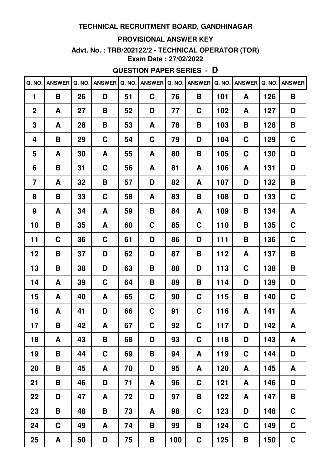#### **PROVISIONAL ANSWER KEY**

# **Advt. No. : TRB/202122/2 - TECHNICAL OPERATOR (TOR)**

**Exam Date : 27/02/2022**

## **QUESTION PAPER SERIES - D**

| Q. NO.         | <b>ANSWER</b> | Q. NO. | <b>ANSWER</b> | Q. NO. | <b>ANSWER</b> | Q. NO. | <b>ANSWER</b> | Q. NO. | <b>ANSWER</b> | Q. NO. | <b>ANSWER</b> |
|----------------|---------------|--------|---------------|--------|---------------|--------|---------------|--------|---------------|--------|---------------|
| 1              | B             | 26     | D             | 51     | $\mathbf C$   | 76     | B             | 101    | A             | 126    | B             |
| $\mathbf 2$    | A             | 27     | B             | 52     | D             | 77     | C             | 102    | A             | 127    | D             |
| 3              | A             | 28     | B             | 53     | A             | 78     | Β             | 103    | B             | 128    | B             |
| 4              | B             | 29     | $\mathbf C$   | 54     | $\mathbf C$   | 79     | D             | 104    | C             | 129    | $\mathbf C$   |
| 5              | A             | 30     | A             | 55     | A             | 80     | Β             | 105    | $\mathbf C$   | 130    | D             |
| 6              | B             | 31     | C             | 56     | A             | 81     | A             | 106    | A             | 131    | D             |
| $\overline{7}$ | A             | 32     | Β             | 57     | D             | 82     | A             | 107    | D             | 132    | B             |
| 8              | B             | 33     | $\mathbf C$   | 58     | A             | 83     | B             | 108    | D             | 133    | $\mathbf C$   |
| 9              | A             | 34     | A             | 59     | B             | 84     | A             | 109    | B             | 134    | A             |
| 10             | B             | 35     | A             | 60     | C             | 85     | C             | 110    | B             | 135    | C             |
| 11             | C             | 36     | $\mathbf C$   | 61     | D             | 86     | D             | 111    | B             | 136    | $\mathbf C$   |
| 12             | B             | 37     | D             | 62     | D             | 87     | Β             | 112    | A             | 137    | B             |
| 13             | B             | 38     | D             | 63     | B             | 88     | D             | 113    | $\mathbf C$   | 138    | B             |
| 14             | A             | 39     | $\mathbf C$   | 64     | B             | 89     | B             | 114    | D             | 139    | D             |
| 15             | A             | 40     | A             | 65     | $\mathbf C$   | 90     | C             | 115    | B             | 140    | $\mathbf C$   |
| 16             | A             | 41     | D             | 66     | $\mathbf C$   | 91     | C             | 116    | A             | 141    | A             |
| 17             | B             | 42     | A             | 67     | C             | 92     | C             | 117    | D             | 142    | A             |
| 18             | A             | 43     | Β             | 68     | D             | 93     | $\mathbf C$   | 118    | D             | 143    | A             |
| 19             | B             | 44     | $\mathbf C$   | 69     | B             | 94     | A             | 119    | $\mathbf C$   | 144    | D             |
| 20             | B             | 45     | A             | 70     | D             | 95     | A             | 120    | A             | 145    | A             |
| 21             | B             | 46     | D             | 71     | A             | 96     | $\mathbf C$   | 121    | A             | 146    | D             |
| 22             | D             | 47     | A             | 72     | D             | 97     | В             | 122    | A             | 147    | B             |
| 23             | B             | 48     | Β             | 73     | A             | 98     | $\mathbf C$   | 123    | D             | 148    | $\mathbf C$   |
| 24             | $\mathbf C$   | 49     | A             | 74     | B             | 99     | Β             | 124    | $\mathbf C$   | 149    | $\mathbf C$   |
| 25             | A             | 50     | D             | 75     | B             | 100    | C             | 125    | B             | 150    | $\mathbf C$   |